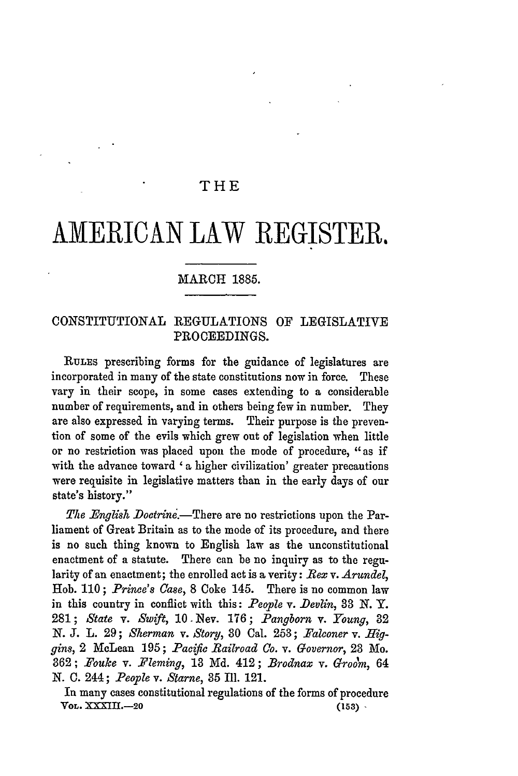## THE

# **AMERICAN** LAW REGISTER.

### MARCH 1885.

## CONSTITUTIONAL REGULATIONS OF LEGISLATIVE PROCEEDINGS.

**RULES** prescribing forms for the guidance of legislatures are incorporated in many of the state constitutions now in force. These vary in their scope, in some cases extending to a considerable number of requirements, and in others being few in number. They are also expressed in varying terms. Their purpose is the prevention of some of the evils which grew out of legislation when little or no restriction was placed upon the mode of procedure, "as if with the advance toward ' **a** higher civilization' greater precautions were requisite in legislative matters than in the early days of our state's history."

*The English Doctrine.*—There are no restrictions upon the Parliament of Great Britain as to the mode of its procedure, and there is no such thing known to English law as the unconstitutional enactment of a statute. There can be no inquiry as to the regularity of an enactment; the enrolled act is a verity: *Rex* v. *Arundel,* Hob. **110;** *Prince's* Case, **8** Coke 145. There is no common law in this country in conflict with this: *People v. Devlin*, 33 N.Y. **281;** *State v. Swift,* 10 -Nev. **176;** *Pangborn v. Young,* 32 *N.* **J.** L. **29;** *Sherman v. Story,* 30 Cal. **253;** *Falconer v. Higgins,* 2 McLean 195; *Pacific Railroad Co. v. Governor,* **23** Mo. **362;** *\_ouke v. .Fleming,* 13 Md. 412; *Brodnax v. Groom,* 64 N. C. 244; *People v. Starne,* 35 Ill. 121.

In many cases constitutional regulations of the forms of procedure *VOL.* **XXIII.-20 (153)**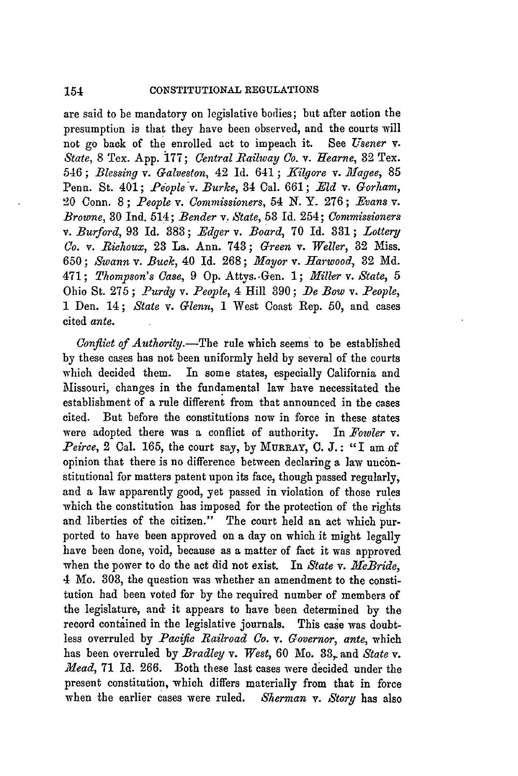are said to be mandatory on legislative bodies; but after action the presumption is that they have been observed, and the courts will not go back of the enrolled act to impeach it. See *Usener* v. *State, 8 Tex. App. 177; Central Railway Co. v. Hearne, 32 Tex.* 546; *Blessing v. Galveston, 42 Id. 641; Kilgore v. Magee, 85* Penn. St. 401; *People v. Burke*, 34 Cal. 661; *Eld v. Gorham*, 20 Conn. 8 ; *People v. Commissioners,* 54 *N.* Y. 276 ; *Evans v. Browne,* **30** Ind. 514; *Bender v. State,* 53 Id. 254; *Commissioners v. Burford,* 93 Id. 383; *-dger v. Board,* 70 Id. 831; *Lottery Co. v. Richoux,* **23** La. Ann. 743; *Green* v. *Weller,* 32 Miss. 650; *Swann* v. *Buck,* 40 Id. 268; *Mayor v. Harwood,* 32 Md. 471; *Thompson's Case,* 9 **Op.** Attys.-Gen. 1; *Miller v. State, 5* Ohio St. 275; *Purdy v. People*, 4 Hill 390; *De Bow v. People*, **I** Den. 14; *State v. Glenn,* 1 West Coast Rep. 50, and cases cited *ante.*

*Conflict of Authority.-The* rule which seems to be established **by** these cases has not been uniformly held **by** several of the courts which decided them. In some states, especially California and Missouri, changes in the fundamental law have necessitated the establishment of a rule different from that announced in the cases cited. But before the constitutions now in force in these states were adopted there was a conflict of authority. In *Yowler v. Peirce,* 2 Cal. 165, the court say, by **MURRAY,** C. **J.:** "I am of opinion that there is no difference between declaring a law unconstitutional for matters patent upon its face, though passed regularly, and a law apparently good, yet passed in violation of those rules which the constitution has imposed for the protection of the rights and liberties of the citizen." The court held an act which purported to have been approved on a day on which it might legally have been done, void, because as a matter of fact it was approved when the power to do the act did not exist. In *State v. McBride,* 4 Mo. 303, the question was whether an amendment to the constitution had been voted for **by** the required number of members of the legislature, and it appears to have been determined **by** the record contained in the legislative journals. This case was doubtless overruled by *Pacific Railroad Co. v. Governor, ante,* which has been overruled by *Bradley* v. West, 60 Mo. 33, and *State* v. *.Mead,* 71 Id. 266. Both these last cases were decided under the present constitution, which differs materially from that in force when the earlier cases were ruled. *Sherman v. Story* has also

154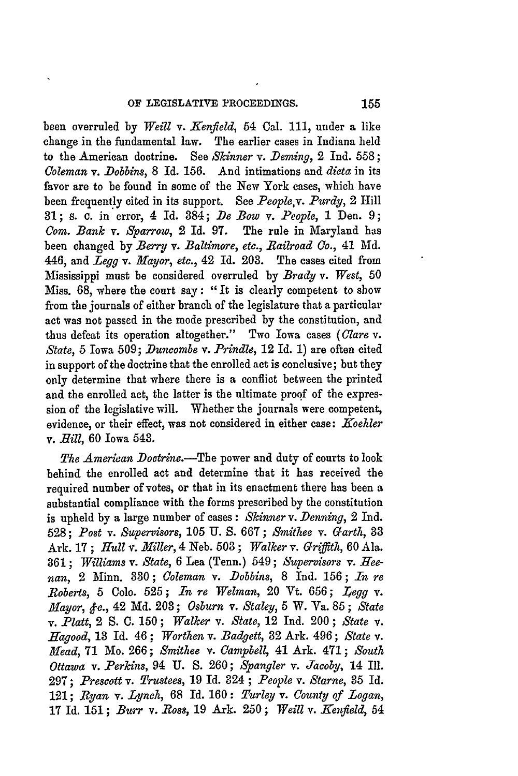been overruled by *Weill* v. *Ifenfield,* 54 Cal. 111, under a like change in the fundamental law. The earlier cases in Indiana held to the American doctrine. See *Skinner v. Deming,* 2 Ind. **558 ;** *Coleman v. Dobbins,* 8 Id. **156.** And intimations and *dicta* in its favor are to be found in some of the New York cases, which have been frequently cited in its support. See *People,v. Purdy,* 2 Hill **31;** s. c. in error, 4 Id. 384; *De Bow v. People,* **1** Den. 9; *Com. Bank v. Sparrow,* 2 Id. 97. The rule in Maryland has been changed **by** *Berry* v. *Baltimore, etc., Railroad Co.,* 41 Md. 446, and Legg *v. Mayor, etc.,* 42 Id. **203.** The cases cited from Mississippi must be considered overruled by *Brady v. West,* 50 Miss. 68, where the court say: "It is clearly competent to show from the journals of either branch of the legislature that a particular act was not passed in the mode prescribed by the constitution, and thus defeat its operation altogether." Two Iowa cases *(Clare v. State,* 5 Iowa 509; *Duncombe v. Prindle,* 12 Id. 1) are often cited in support of the doctrine that the enrolled act is conclusive; but they only determine that where there is a conflict between the printed and the enrolled act, the latter is the ultimate proof of the expression of the legislative will. Whether the journals were competent, evidence, or their effect, was not considered in either case: Koehler v. *Bill,* 60 Iowa 543.

*The American Dotrine.-The* power and duty of courts to look behind the enrolled act and determine that it has received the required number of votes, or that in its enactment there has been a substantial compliance with the forms prescribed **by** the constitution is upheld by a large number of cases: *Skinner v. Denning,* 2 Ind. 528; *Post v. Supervisors,* 105 U. S. 667; *Smithee v. Garth, 33* Ark. 17 ; *Hull v. Miller,* 4 Neb. **503** ; *Walker v. Griffith,* 60 Ala. 361; *Williams v. State,* 6 Lea (Tenn.) 549; *Supervisors v.* Hee*nan,* 2 Minn. 330; *Coleman v. Dobbins,* 8 Ind. 156; *In re Roberts,* **5** Colo. **525;** *In re Welman,* 20 Vt. 656; *12egg v. Mayor, &c.,* 42 Md. 203; *Osburn v. Staley,* 5 W. Va. 85; *State v. Platt,* 2 **S.** C. 150; *Walker v. State,* 12 Ind. 200; *State v. iagood,* **13** Id. 46; *Worthen v. Badgett,* **32** Ark. 496; *State v. 3Mead,* **71** Mo. 266; *Smithee v. Campbell,* 41 Ark. 471; *South Ottawa v. Perkins,* 94 U. S. 260; *Spangler v. Jacoby,* 14 Ill. 297; *Prescott v. Trustees,* 19 Id. 324 ; *People* v. *Starne,* **35** Id. 121; *Ryan v. Lynch,* 68 Id. 160: *Turley v. County of Logan,* **17** Id. 151; *Burr v. Bos8,* 19 Ark. 250; *Weill v. .Kenfield,* 54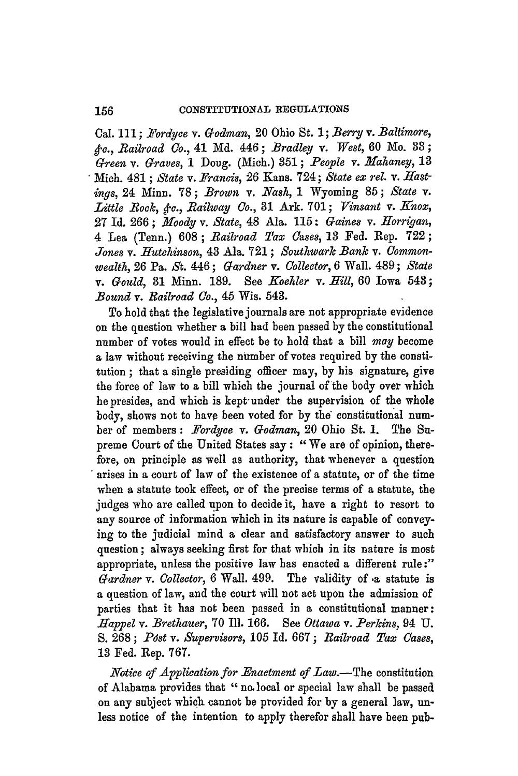Cal. **111;** *Fordyce v. Godman,* 20 Ohio St. **1;** *Berry v. Baltimore, stc., Railroad Co.,* 41 **Md.** 446; *Bradley v. West,* **60** Mo. **33;** *Green v. Graves,* **I** Doug. (Mich.) **351;** *People v. Mahaney,* **13** Mich. 481 **;** *State v. Francis,* **26** Kans. 724; *State ex rel. v. Hastings,* 24 Minn. **78;** *Brown v.* **Nash, 1** Wyoming **85;** *State v.* Little Rock, &c., Railway Co., 31 Ark. 701; Vinsant v. Knox, **27** Id. **266 ;** *lroody v. State,* 48 Ala. **115 :** *Gaines v. Ilorrigan,* 4 Lea (Tenn.) **608;** *Railroad Tax Cases,* **13** Fed. Rep. **722;** Jones v. Hutchinson, 43 Ala. 721; Southwark Bank v. Common*wealth,* **26** Pa. St. 446; *Gardner v. Collector,* **6** Wall. 489; *State v. Gould,* **31** Minn. **189.** See *Koehler v. Hill,* **60** Iowa 548; *Bound v. Railroad Co.,* 45 Wis. 543.

To hold that the legislative journals are not appropriate evidence on the question whether a bill had been passed **by** the constitutional number of votes would in effect be to hold that a bill *may* become a law without receiving the number of votes required **by** the constitution **;** that a single presiding officer may, **by** his signature, give the force of law to a bill which the journal of the body over which he presides, and which is kept under the supervision of the whole body, shows not to have been voted for **by** the" constitutional number of members: *Fordyce v. Godman,* 20 Ohio St. **1.** The Supreme Court of the United States say **:** " We are of opinion, therefore, on principle as well as authority, that whenever a question arises in a court of law of the existence of a statute, or of the time when a statute took effect, or of the precise terms of a statute, the judges who are called upon to decide it, have a right to resort to any source of information which in its nature is capable of conveying to the judicial mind a clear and satisfactory answer to such question; always seeking first for that which in its nature is most appropriate, unless the positive law has enacted a different rule :" *Gardner v. Collector,* **6** Wall. 499. The validity of **.a** statute is a question of law, and the court will not act upon the admission of parties that it has not been passed in a constitutional manner: *Happel v. Brethauer,* **70** Ill. **166.** See *Ottawa v.* **Perkins,** 94 **U. S. 268;** *Pdst v. Supervisors, 105* Id. **667;** *Railroad Tax Cases,* **13** Fed. Rep. **767.**

*Notice of Application for Enactment of Law.-The* constitution of Alabama provides that **" no,** local or special law shall be passed on any subject which cannot be provided for **by** a general law, unless notice of the intention to apply therefor shall have been pub-

156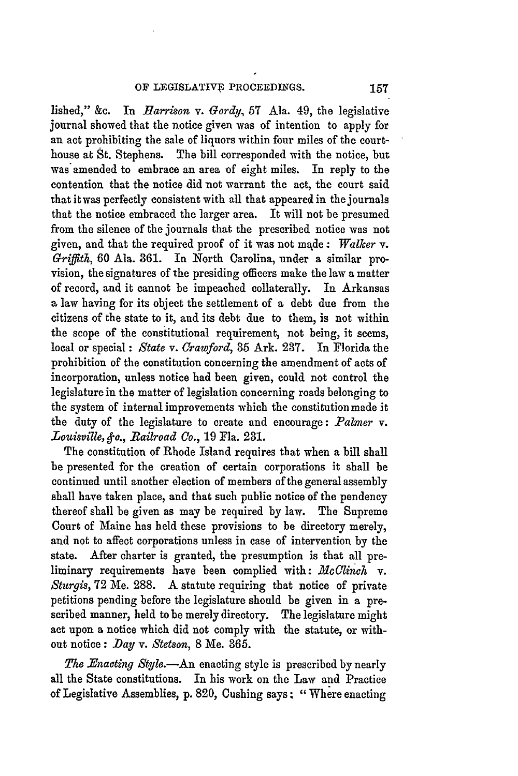lished," &c. In *Harrison v. Gordy*, 57 Ala. 49, the legislative journal showed that the notice given was of intention to apply for an act prohibiting the sale of liquors within four miles of the courthouse at St. Stephens. The bill corresponded with the notice, but was amended to embrace an area of eight miles. In reply to the contention that the notice did not warrant the act, the court said that it was perfectly consistent with all that appeared in the journals that the notice embraced the larger area. It will not be presumed from the silence of the journals that the prescribed notice was not given, and that the required proof of it was not made: *Walker v. Griffith,* 60 Ala. 361. In North Carolina, under a similar provision, the signatures of the presiding officers make the law a matter of record, and it cannot be impeached collaterally. In Arkansas a law having for its object the settlement of a debt due from the citizens of the state to it, and its debt due to them, is not within the scope of the constitutional requirement, not being, it seems, local or special: *State v. Crawford,* **35** Ark. **237.** In Florida the prohibition of the constitution concerning the amendment of acts of incorporation, unless notice had been given, could not control the legislature in the matter of legislation concerning roads belonging to the system of internal improvements which the constitution made it the duty of the legislature to create and encourage: *Palmer* v. *Louisville, c., Railroad Co.,* 19 Fla. **231.**

The constitution of Rhode Island requires tbat when a bill shall be presented for the creation of certain corporations it shall be continued until another election of members of the general assembly shall have taken place, and that such public notice of the pendency thereof shall be given as may be required by law. The Supreme Court of Maine has held these provisions to be directory merely, and not to affect corporations unless in case of intervention **by** the state. After charter is granted, the presumption is that all preliminary requirements have been complied with: *McClinch* v. *Sturgis,* 72 Me. 288. A statute requiring that notice of private petitions pending before the legislature should be given in a prescribed manner, held to be merely directory. The legislature might act upon a notice which did not comply with the statute, or without notice: *D~ay v. Stetson,* 8 Me. 365.

*The Enacting Style.*-An enacting style is prescribed by nearly all the State constitutions. In his work on the Law and Practice of Legislative Assemblies, **p.** 820, Cushing says; "Where enacting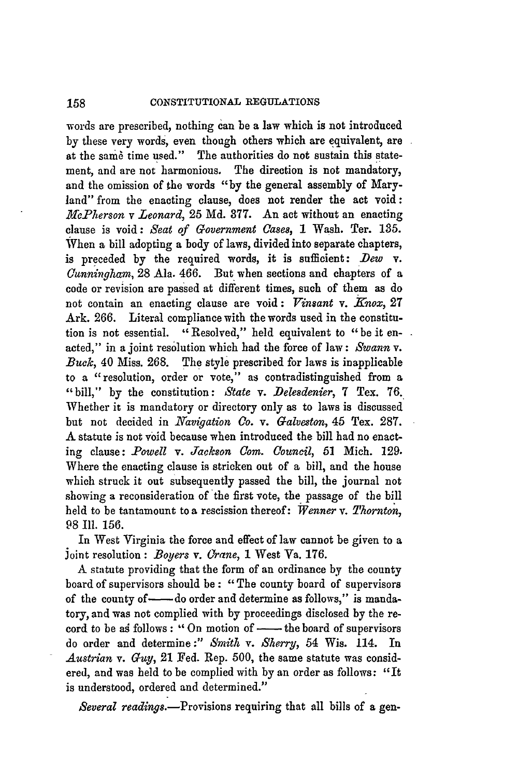#### **CONSTITUTIONAL REGULATIONS** 158

words are prescribed, nothing can be a law which is not introduced **by** these very words, even though others which are equivalent, are at the same time used." The authorities do not sustain this statement, and are not harmonious. The direction is not mandatory, and the omission of the words **"by** the general assembly of Maryland" from the enacting clause, does not render the act void **:** *McPherson v Leonard,* 25 Md. 377. An act without an enacting clause is void: *Seat of Government* Cases, **1** Wash. Ter. **135.** When a bill adopting a body of laws, divided into separate chapters, is preceded **by** the required words, it is sufficient: *Dew v. Cunningham,* **28** Ala. 466. But when sections and chapters of a code or revision are passed at different times, such of them as do not contain an enacting clause are void: *Vinsant v. knox,* **27** Ark. **266.** Literal compliance with the words used in the constitution is not essential. "Resolved," held equivalent to "be it enacted," in a joint resolution which had the force of law: *Swann v. Buck,* 40 Miss. **268.** The style prescribed for laws is inapplicable to a "resolution, order or vote," as contradistinguished from a "bill," **by** the constitution: *State v. Delesdenier,* **7** Tex. **76.** Whether **it** is mandatory or directory only as to laws is discussed but not decided in *Navigation Co. v. Galveston,* 45 Tex. **287.** A statute is not void because when introduced the bill had no enacting clause: *-Powell v. Jackson* Com. *Council,* **51** Mich. **129.** Where the enacting clause is stricken out of a bill, and the house which struck it out subsequently passed the bill, the journal not showing a reconsideration of the first vote, the passage of the bill held to be tantamount to a rescission thereof: *Wenner v. Thornton,* 98 I1. 156.

In West Virginia the force and effect of law cannot be given to a Joint resolution : *Boyers v. Crane*, 1 West Va. 176.

A statute providing that the form of an ordinance by the county board of supervisors should be **:** "The county board of supervisors of the county of - do order and determine as follows," is mandatory, and was not complied with by proceedings disclosed by the record to be as follows : "On motion of - the board of supervisors do order and determine :" *Smith v. Sherry,* 54 Wis. 114. In *Austrian v. Guy,* 21 Fed. Rep. 500, the same statute was considered, and was held to be complied with **by** an order as follows: "It is understood, ordered and determined."

*Several readings.*—Provisions requiring that all bills of a gen-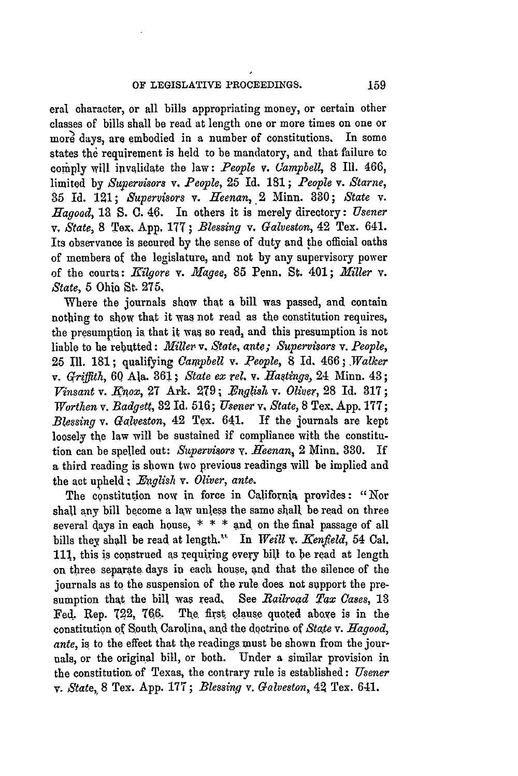eral character, or all bills appropriating money, or certain other classes of bills shall be read at length one or more times on one or **more** days, are embodied in a number of constitutions. In some states the requirement is held to be mandatory, and that failure to comply will invalidate the law: *People* v, *(lampbell,* **8** Ill. 466, limited **by** *Sapervisors v. People,* 25 Id. **181 ;** *People v. Starne,* **35** Id. 121; *Supervisors* v. *ffeenan,* .2 Minn. **330;** *State v. Hagood,* 13 **S. 0.** 46. In others it is merely directory: *Usener v, State,* 8 Tex. **App, 177;** *Blessing* v. *Galveston,* 42 Tex. 641. Its observance is secured **by** the sense of duty and the official oaths of members of the legislature, and not **by** any supervisory power of the courts: *JHilgore v. Aagee,* 85 Penn, St. 401; *Miller* v. *State,* 5 Ohio St. 275,

Where the journals show that a bill was passed, and contain nothing to show that it was not read as the constitution requires, the presumption is that it was so read, and this presumption is not liable to he rebutted: *Miller v. State, ante; Supervisors v. People,* 25 Ill. 181; qualifying *Campbell v. People,* **8** Id. *466.; Walker v.* Griffith, 60 Ala. 361; *State ex* rel. *v. Hastings,* 24 Minn. 43; *Vinsant v. Knox,* 27 Ark. 279; *English v. Oliver*, 28 Id. 317; *Worthen* v. *Badgett,* 32 Id. **516;** *Usener* v, *State,* 8 Tex. App. 177; *Blessing v. Galveston,* 42 Tex. 641. If the journals are kept loosely the law will be sustained if compliance with the constitution can be spelled out: *Szpervisors v. Heenan,* 2 Minn. 330. If a third reading is shown two previous readings will be implied and the act upheld *.English v. Oliver, ante.*

The constitution now in force in California provides: "Nor shall any bill become a law unless the same shall be read on three several days in each house,  $* * *$  and on the final passage of all bills they shall be read at length." In *Weill v. Kenfield*, 54 Cal. **111,** this is copstrued as requiring every bill to be read at length on three separate days in each house, and that the silence of the journals as to the suspension of the rule does not support the presumption that the bill was read, See *Railroad Tax Cases,* 13 Fed. Rep. 722, **76Q.** The first clause quoted aboxe is in the constitution **of** South Carolina, and the doctrioe of *State v. Hagood, ante,* is to the effect that the readings must be shown from the journals, or the original bill, or both. Under a similar provision in the constitution of Texas, the contrary rule is established: *Usener v. State,,* 8 Tex. App. 177; *Blessing v. Galveston,* 42 Tex. 641.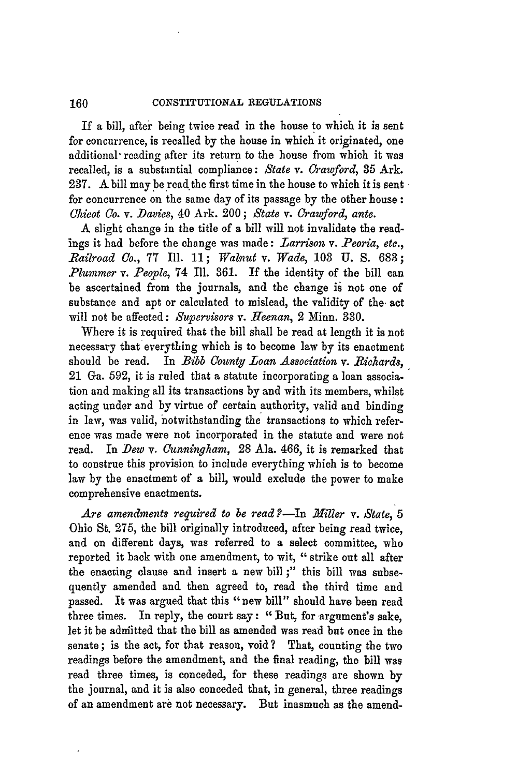#### 160 **CONSTITUTIONAL REGULATIONS**

If a bill, after being twice read in the house to which it is sent for concurrence, is recalled by the house in which it originated, one additional reading after its return to the house from which it was recalled, is a substantial compliance: *State v. Crawford,* 85 Ark. **237.** A bill may be read the first time in the house to which it is sent for concurrence on the same day of its passage **by** the other house: *(hicot Co. v. Davies,* 40 Ark. 200; *State v. Crawford, ante.*

A slight change in the title of a bill will not invalidate the readings it had before the change was made: *Larrison v. Peoria, etc., Railroad Co.,* 77 Ill. 11; *Walnut v. Wade,* **108 U.** S. **683;** *Plummer v. People,* 74 Ill. 361. If the identity of the bill can be ascertained from the journals, and the change is not one of substance and apt or calculated to mislead, the validity of the act will not be affected: *Supervisors v. Heenan,* 2 Minn. **330.**

Where it is required that the bill shall be read at length it is **not** necessary that everything which is to become law by its enactment should be read. In *Bibb County Loan Association v. Richards,* 21 Ga. 592, it is ruled that a statute incorporating a loan association and making all its transactions by and with its members, whilst acting under and by virtue of certain authority, valid and binding in law, was valid, notwithstanding the transactions to which reference was made were not incorporated in the statute and were not read. In *Dew v. Cunningham,* **28** Ala. 466, it is remarked that to construe this provision to include everything which is to become law by the enactment of a bill, would exclude the power to make comprehensive enactments.

Are amendments required to be read?—In Miller v. State, 5 Ohio St. 275, the bill originally introduced, after being read twice, and on different days, was referred to a select committee, who reported it back with one amendment, to wit, "strike out all after the enacting clause and insert a new bill ;" this bill was subsequently amended and then agreed to, read the third time and passed. It was argued that this "new bill" should have been read three times. In reply, the court say: "But, for argument's sake, let it be adniitted that the bill as amended was read but once in the senate; is the act, for that reason, void? That, counting the two readings before the amendment, and the final reading, the **bill** was read three times, is conceded, for these readings are shown **by** the journal, and it is also conceded that, in general, three readings of an amendment are not necessary. But inasmuch as the amend-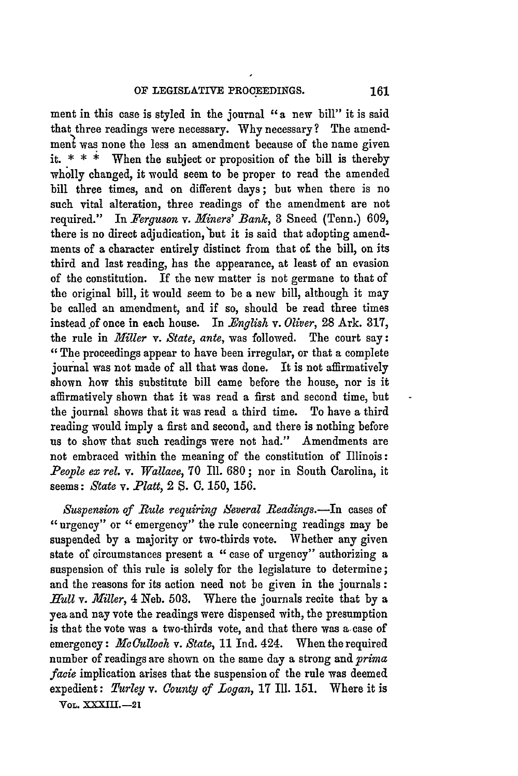ment in this case is styled in the journal **"a** new bill" it is said that three readings were necessary. Why necessary? The amendment was none the less an amendment because of the name given it.  $* * *$  When the subject or proposition of the bill is thereby wholly changed, it would seem to be proper to read the amended bill three times, and on different days; but when there is no such vital alteration, three readings of the amendment are not required." In *Ferguson v. Miners' Bank,* **3** Sneed (Tenn.) **609,** there is no direct adjudication, but it is said that adopting amendments of a character entirely distinct from that of the bill, on its third and last reading, has the appearance, at least of an evasion of the constitution. If the new matter is not germane to that of the original bill, it would seem to be a new bill, although it may be called an amendment, and if so, should be read three times instead of once in each house. In *English v. Oliver,* **28** Ark. **317,** the rule in *Miller v. State, ante,* was followed. The court say: "The proceedings appear to have been irregular, or that a complete journal was not made of all that was done. It is not affirmatively shown how this substitute bill came before the house, nor is it affirmatively shown that it was read a first and second time, but the journal shows that it was read a third time. To have a third reading would imply a first and second, and there is nothing before us to show that such readings were not had." Amendments are not embraced within the meaning of the constitution of Illinois: *People ex rel.* v. *Wallace,* **70** Ill. 680; nor in South Carolina, it seems: *State v. Platt,* 2 **S. C.** 150, **156.**

*Suspension of Rule requiring Several Beadings.-In* cases of "urgency" or "emergency" the rule concerning readings may be suspended by a majority or two-thirds vote. Whether any given state of circumstances present a "case of urgency" authorizing a suspension of this rule is solely for the legislature to determine; and the reasons for its action need not be given in the journals **:** *.Hull v. Miller,* 4 Neb. 503. Where the journals recite that by a yea and nay vote the readings were dispensed with, the presumption is that the vote was a two-thirds vote, and that there was a case of emergency: *McCulloch v. State*, 11 Ind. 424. When the required number of readings are shown on the same day a strong and *prima facie* implication arises that the suspension of the rule was deemed expedient: *Turley v. County of Logan,* **17 Ill.** 151. Where it is

**VOL. XXXII.-21**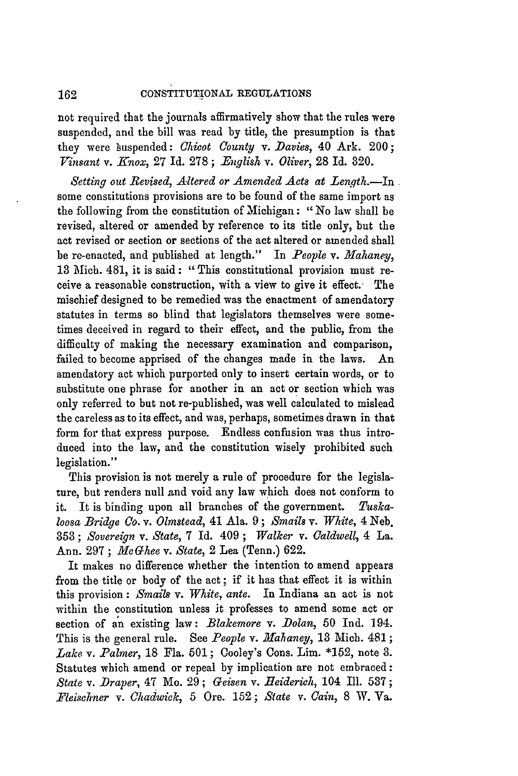162 **CONSTITUTIONAL** REGULATIONS

not required that the journals affirmatively show that the rules were suspended, and the bill was read by title, the presumption is that they were suspended: *Chicot County v. Davies,* 40 Ark. 200; *Vinsant v. Knox,* **27** Id. 278; *-English v. Oliver,* **28** Id. 320.

*Setting out Revised, Altered or Amended Acts at Lenqth.-In* some constitutions provisions are to be found of the same import as the following from the constitution of Michigan: "No law shall be revised, altered or amended by reference to its title only, but the act revised or section or sections of the act altered or amended shall be re-enacted, and published at length." In *People v. Hahaney,* **13** Mich. 481, it is said: "This constitutional provision must receive a reasonable construction, with a view to give it effect. The mischief designed to be remedied was the enactment of amendatory statutes in terms so blind that legislators themselves were sometimes deceived in regard to their effect, and the public, from the difficulty of making the necessary examination and comparison, failed to become apprised of the changes made in the laws. An amendatory act which purported only to insert certain words, or to substitute one phrase for another in an act or section which was only referred to but not re-published, was well calculated to mislead the careless as to its effect, and was, perhaps, sometimes drawn in that form for that express purpose. Endless confusion was thus introduced into the law, and the constitution wisely prohibited such legislation."

This provision is not merely a rule of procedure for the legislature, but renders null and void any law which does not conform to it. It is binding upon all branches of the government. *Tuskaloosa Bridge Co. v. Olmstead,* 41 Ala. 9 *; Smails v. White,* 4 Neb. **353** ; *Sovereign v. State,* 7 Id. 409 ; *Walker v. Caldwell,* 4 La. Ann. **297** ; *1leGhee v. State,* 2 Lea (Tenn.) **622.**

It makes no difference whether the intention to amend appears from the title or body of the act ; if it has that effect it is within this provision: *Smailg* v. *White, ante.* In Indiana an act is not within the constitution unless it professes to amend some act or section of an existing law: *Blakemore v. Dolan,* 50 Ind. 194. This is the general rule. See *People v. Mahaney,* **13** Mich. 481; *Lake v. Palmer,* 18 Fla. 501; Cooley's Cons. Lim. \*152, note **3.** Statutes which amend or repeal by implication are not embraced: *State v. Draper,* 47 Mo. 29; *Geisen v. Heiderich,* 104 Ill. 537; *Fleischner v. Chadwick,* 5 Ore. 152; *State v. Cain,* **8** W. Va.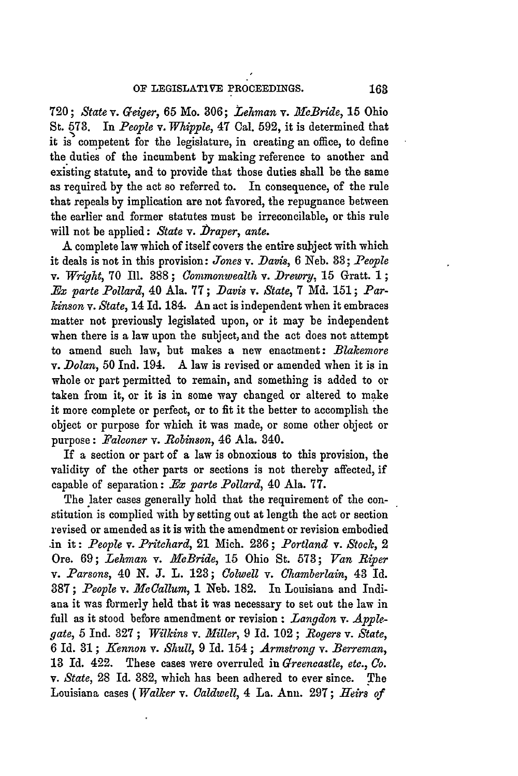**720;** *State v. Geiger,* 65 Mo. **306;** *Lehman* v. *McBride,* 15 Ohio St. **573.** In *People v. Whipple,* 47 Cal. **592,** it is determined that it is competent for the legislature, in creating an office, to define the duties of the incumbent **by** making reference to another and existing statute, and to provide that those duties shall be the same as required by the act so referred to. In consequence, of the rule that repeals **by** implication are not favored, the repugnance between the earlier and former statutes must be irreconcilable, or this rule will not be applied: *State v. Draper*, ante.

**A** complete law which of itself covers the entire subject with which it deals is not in this provision: *Jones* v. *Davis,* 6 Neb. **38;** *-People* v. *Wright,* 70 Ill. **888** ; *Commonwealth* v. *Drewry,* 15 Gratt. 1 **;** *Ex parte Pollard,* 40 Ala. **77;** *Davis v. State,* **7 Md.** 151; *Parkinson v. State,* 14 Id. 184. An act is independent when it embraces matter not previously legislated upon, or it may be independent when there is a law upon the subject, and the act does not attempt to amend such law, but makes a new enactment: *Blakemore* v. *Dolan,* 50 Ind. 194. A law is revised or amended when it is in whole or part permitted to remain, and something is added to or taken from it, or it is in some way changed or altered to make it more complete or perfect, or to fit it the better to accomplish the object or purpose for which it was made, or some other object or purpose: *Falconer v. Robinson,* 46 Ala. 840.

If a section or part of a law is obnoxious to this provision, the validity of the other parts or sections is not thereby affected, if capable of separation: *.Bx parte Pollard,* 40 Ala. **77.**

The later cases generally hold that the requirement of the constitution is complied with by setting out at length the act or section revised or amended as it is with the amendment or revision embodied **.in** it: *People v. Pritchard,* 21 Mich. **286;** *Portland v. Stock, 2* Ore. 69; *Lehman v. McBride,* 15 Ohio St. 573; *Van Riper v. -Parsons,* 40 *N.* **J.** L. 128; *Colwell v. Chamberlain,* 43 Id. 887; *People v. McCallum,* 1 Neb. 182. In Louisiana and Indiana it was formerly held that it was necessary to set out the law in full as it stood before amendment or revision : *Langdon v. Applegate,* 5 Ind. **327** ; *Wilkins v. Miller,* 9 **Id.** 102 ; *Rogers v. State,* 6 Id. **31;** *Kennon v. Shull,* 9 Id. 154; *Armstrong v. Berreman,* **18** Id. 422. These cases were overruled in *Greencastle, etc., Co. v. State,* **28** Id. 382, which has been adhered to ever since. The Louisiana cases *(Walker v. Caldwell,* 4 La. Ann. 297; *Heirs of*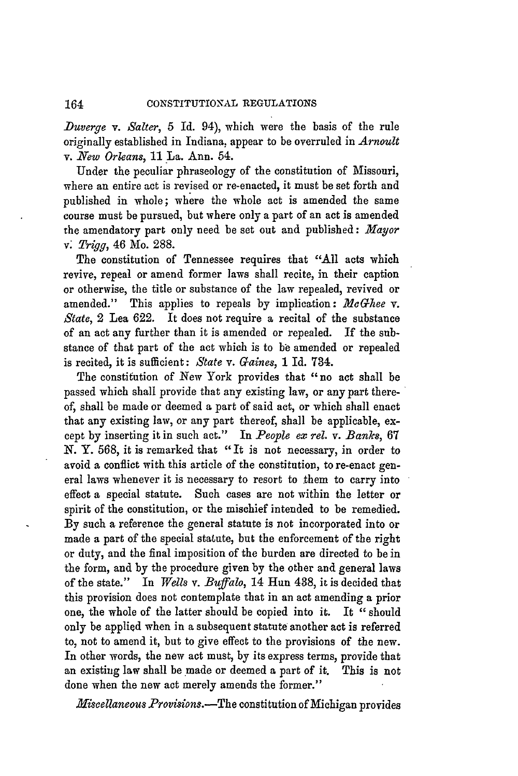*Duverge v. Salter,* 5 Id. 94), which were the basis of the rule originally established in Indiana, appear to be overruled in *Arnoult v. New Orleans,* 11 La. Ann. 54.

Under the peculiar phraseology of the constitution of Missouri, where an entire act is revised or re-enacted, it must be set forth and published in whole; where the whole act is amended the same course must be pursued, but where only a part of an act is amended the amendatory part only need be set out and published: *Mayor* v *Trigg,* 46 Mo. 288.

The constitution of Tennessee requires that "All acts which revive, repeal or amend former laws shall recite, in their caption or otherwise, the title or substance of the law repealed, revived or amended." This applies to repeals **by** implication: *McGhee v. State,* 2 Lea 622. It does not require a recital of the substance of an act any further than it is amended or repealed. If the substance of that part of the act which is to be amended or repealed is recited, it is sufficient: *State v. Gaines,* 1 Id. 734.

The constitution of New York provides that "no act shall be passed which shall provide that any existing law, or any part thereof, shall be made or deemed a part of said act, or which shall enact that any existing law, or any part thereof, shall be applicable, except **by** inserting it in such act." In *People ex rel. v. Banks,* 67 *N.* Y. 568, it is remarked that "It is not necessary, in order to avoid a conflict with this article of the constitution, to re-enact general laws whenever it is necessary to resort to them to carry into effect a special statute. Such cases are not within the letter or spirit of the constitution, or the mischief intended to be remedied. By such a reference the general statute is not incorporated into or made a part of the special statute, but the enforcement of the right or duty, and the final imposition of the burden are directed to be in the form, and **by** the procedure given by the other and general laws of the state." In *Wells v. Buffalo,* 14 Hun 438, **it** is decided that this provision does not contemplate that in an act amending a prior one, the whole of the latter should be copied into it. It "should only be applied when in a subsequent statute another act is referred to, not to amend it, but to give effect to the provisions of the new. In other words, the new act must, **by** its express terms, provide that an existing law shall be made or deemed a part of it. This is not done when the new act merely amends the former."

*Miscellaneous Provisions.-The* constitution of Michigan provides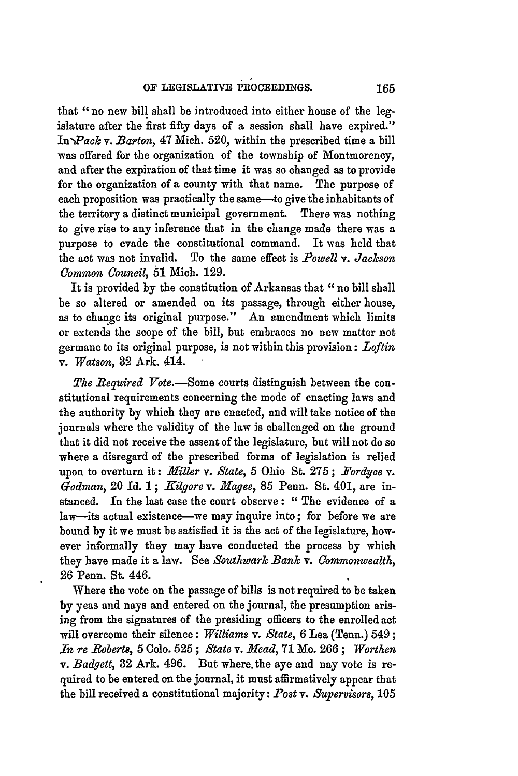that *"no* new bill shall be introduced into either house of the legislature after the **first** fifty days of a session shall have expired." In *Pack v. Barton*, 47 Mich. 520, within the prescribed time a bill was offered for the organization of the township of Montmorency, and after the expiration of that time it was so changed as to provide for the organization of a county with that name. The purpose of each proposition was practically the same—to give the inhabitants of the territory a distinct municipal government. There was nothing to give rise to any inference that in the change made there was a purpose to evade the constitutional command. It was held that the act was not invalid. To the same effect is  $Powell \, \mathbf{v}$ . Jackson *Common 0ouncil,* **51** Mich. **129.**

It is provided **by** the constitution of Arkansas that *"no* bill shall be so altered or amended on its passage, through either house, as to change its original purpose." **An** amendment which limits or extends the scope of the bill, but embraces no new matter not germane to its original purpose, is not within this provision: *Loftin v. Watson,* **32** Ark. 414.

*The Required Vote*.—Some courts distinguish between the constitutional requirements concerning the mode of enacting laws and the authority by which they are enacted, and will take notice of the journals where the validity of the law is challenged on the ground that it did not receive the assent of the legislature, but will not do so where a disregard of the prescribed forms of legislation is relied upon to overturn it: *Miller v. State,* 5 Ohio St. 275 ; *.Fordyce v. Godman, 20 Id. 1; Kilgore v. Magee, 85 Penn. St. 401, are in*stanced. **In** the last case the court observe : *"* The evidence of a law-its actual existence-we may inquire into; for before we are bound by it we must be satisfied it is the act of the legislature, however informally they may have conducted the process by which they have made it a law. See *Southwark Bank v. Commonwealth,* **26** Penn. St. 446.

Where the vote on the passage of bills is not required to be taken **by** yeas and nays and entered on the journal, the presumption arising from the signatures of the presiding officers to the enrolled act will overcome their silence: *Williams v. State,* **6** Lea (Tenn.) 549; *In re Roberts,* **5** Colo. **525** ; *State v. Mead,* **71** Mo. **266 ;** *Worthen v. Badgett,* **82** Ark. 496. But where, the aye and nay vote is required to be entered on the journal, it must affirmatively appear that the bill received a constitutional majority: *Post v. Supervisors,* **105**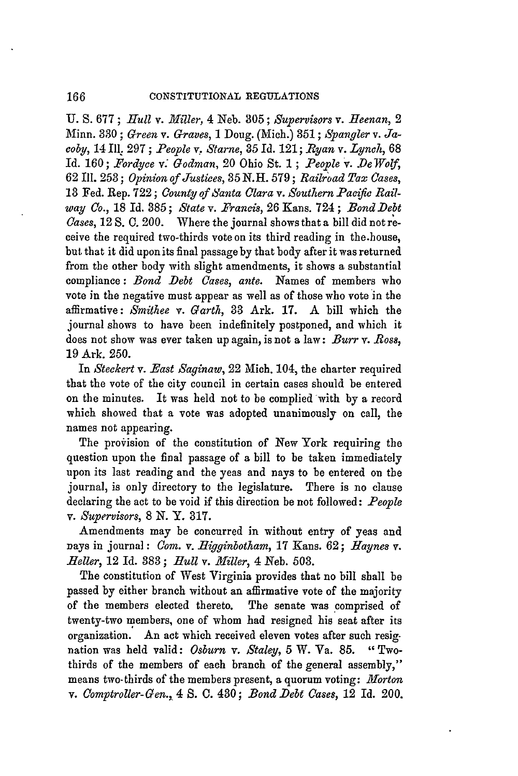166

**U. S.** 677; *Hull* v. *Miller,* 4 Neb. 305; *Supervisors v. Heenan, 2* Minn. 330 ; *Green v. Graves,* 1 Doug. (Mich.) 351 **;** *Spangler v. Jacoby,* 14 **111. 297** ; *People v. Starne,* 35 Id. 121; *Ryan v. Lynch,* 68 Id. 160; *Fordyce v. Godman,* 20 Ohio St. **1** ; *People v. De Woy,* 62 Ill. **253;** *Opinion of Justices,* **35 N.H.** 579; *Raib:oad Tax Cases,* **13** Fed. Rep. **722** ; *County of Santa Clara v. Southern Pacific Railway Co.,* 18 Id. 385 ; *State v. Francis,* 26 Kans. 724 **;** *Bond Debt Cases,* **12** S. **C.** 200. Where the journal shows that a bill did not receive the required two-thirds vote on its third reading in the.house, but that it did upon its final passage **by** that body after it was returned from the other body with slight amendments, it shows a substantial compliance: *Bond Debt Cases, ante.* Names of members who vote in the negative must appear as well as of those who vote in the affirmative: *Smithee v. Garth,* 33 Ark. 17. A bill which the journal shows to have been indefinitely postponed, and which it does not show was ever taken up again, is not a law: *Burr v. Ross*, 19 Ark. 250.

In *Steckert v. East Saginaw,* 22 Mich. 104, the charter required that the vote of the city council in certain cases should be entered on the minutes. It was held not to be complied with **by** a record which showed that a vote was adopted unanimously on call, the names not appearing.

The provision of the constitution of New York requiring the question upon the final passage of a bill to be taken immediately upon its last reading and the yeas and nays to be entered on the journal, is only directory to the legislature. There is no clause declaring the act to be void if this direction be not followed: *People v. Supervisors,* 8 N. Y. 317.

Amendments may be concurred in without entry of yeas and nays in journal: *Com. v. .Higginbotham,* 17 Kans. **62;** *Haynes v. Heller,* 12 Id. 383; *Bull* v. *.liller,* 4 Neb. 503.

The constitution of West Virginia provides that no bill shall be passed **by** either branch without an affirmative vote of the majority of the members elected thereto. The senate was comprised of twenty-two members, one of whom had resigned his seat after its organization. An act which received eleven votes after such resignation was held valid: *Osburn v. Staley,* 5 W. Va. 85. " Twothirds of the members of each branch of the general assembly," means two-thirds of the members present, a quorum voting: *Morton v. Comptroller-Gen.,* 4 S. **C.** 430; *BondDebt Cases,* 12 Id. 200.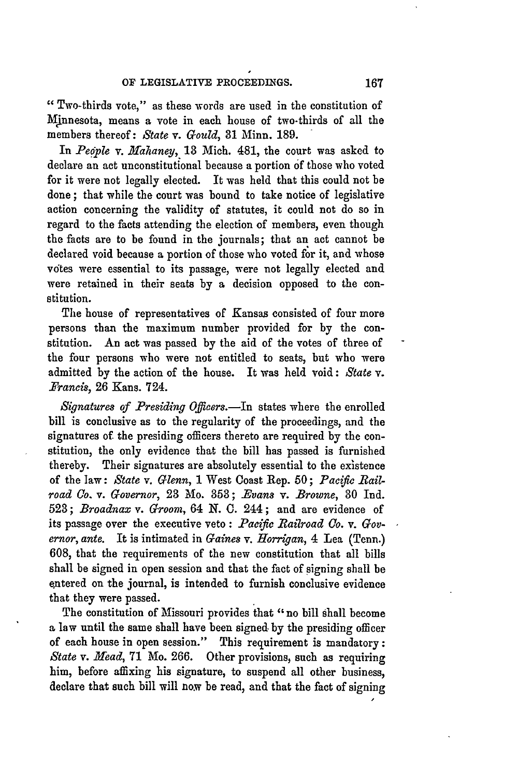**"** Two-thirds vote," as these words are used in the constitution of Mjnnesota, means a vote in each house of two-thirds of all the members thereof: *State v. Gould,* 81 Minn. 189.

In *People v. Hahaney,* 18 Mich. 481, the court was asked to declare an act unconstitutional because a portion of those who voted for it were not legally elected. It was held that this could not be done ; that while the court was bound to take notice of legislative action concerning the validity of statutes, it could not do so in regard to the facts attending the election of members, even though the facts are to be found in the journals; that an act cannot be declared void because a portion of those who voted for it, and whose votes were essential to its passage, were not legally elected and were retained in their seats **by** a decision opposed to the constitution.

The house of representatives of Kansas consisted of four more persons than the maximum number provided for **by** the constitution. An act was passed **by** the aid of the votes of three of the four persons who were not entitled to seats, but who were admitted by the action of the house. It was held void: *State v. Francis,* **26** Kans. 724.

*Signatures of Presiding Officers.*—In states where the enrolled bill is conclusive as to the regularity of the proceedings, and the signatures of the presiding officers thereto are required **by** the constitution, the only evidence that the bill has passed is furnished thereby. Their signatures are absolutely essential to the existence of the law: *State* v. *Glenn,* 1 West Coast Rep. **50;** *Pacific Bailroad Co. v. Governor,* 23 Mo. **353;** *-Evans v. Browne,* 80 Ind. 523; *Broadnax v. Groom,* 64 N. **0.** 244; and are evidence of its passage over the executive veto : *Pacific Railroad Co. v. Governor, ante.* It is intimated in *Gaines v. Horrigan,* 4 Lea (Tenn.) 608, that the requirements of the new constitution that all bills shall be signed in open session and that the fact of signing shall be entered on the journal, is intended to furnish conclusive evidence that they were passed.

The constitution of Missouri provides that "no bill shall become a law until the same shall have been signed. by the presiding officer of each house in open session." This requirement is mandatory: *State v. Head,* 71 Mo. 266. Other provisions, such as requiring him, before affixing his signature, to suspend all other business, declare that such bill will now be read, and that the fact of signing

**I**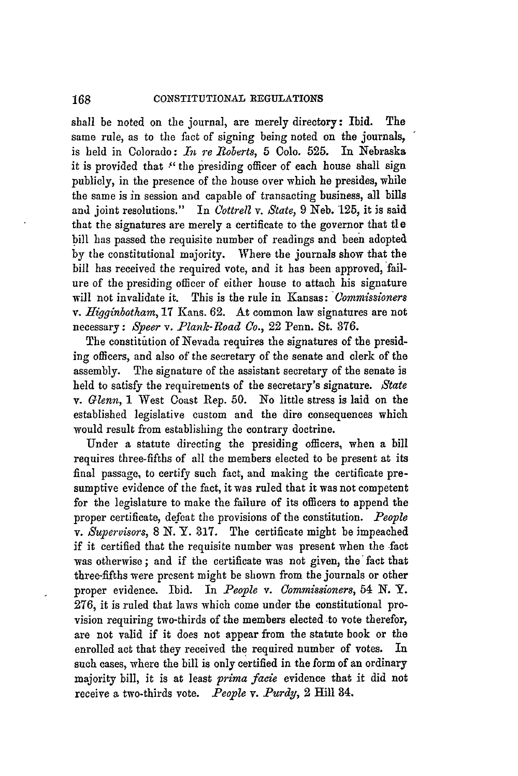shall be noted on the journal, are merely directory: Ibid. The same rule, as to the fact of signing being noted on the journals, is held in Colorado: *In re 1oberts,* **5** Colo. 525. In Nebraska it is provided that **:'** the presiding officer of each house shall sign publicly, in the presence of the house over which he presides, while the same is in session and capable of transacting business, all bills and joint resolutions." In *Cottrell v. State,* 9 Neb. **'125,** it is said that the signatures are merely a certificate to the governor that **tle** bill has passed the requisite number of readings and been adopted by the constitutional majority. Where the journals show that the bill has received the required vote, and it has been approved, failure of the presiding officer of either house to attach his signature will not invalidate it. This is the rule in Kansas: *Commissioners v. Higginbotham,* 17 Kans. 62. At common law signatures are not necessary: *Speer v. Plank-Road Co.,* 22 Penn. St. **876.**

The constitution of Nevada requires the signatures of the presiding officers, and also of the secretary of the senate and clerk of the assembly. The signature of the assistant secretary of the senate is held to satisfy the requirements of the secretary's signature. *State* v. *Glenn,* 1 West Coast Rep. 50. No little stress is laid on the established legislative custom and the dire consequences which would result from establishing the contrary doctrine.

Under a statute directing the presiding officers, when a bill requires three-fifths of all the members elected to be present at its final passage, to certify such fact, and making the certificate presumptive evidence of the fact, it was ruled that it was not competent for the legislature to make the failure of its officers to append the proper certificate, defeat the provisions of the constitution. *People v. Supervisors,* 8 **N.** Y. **317.** The certificate might be impeached if it certified that the requisite number was present when the fact was otherwise ; and if the certificate was not given, the fact that three-fifths were present might be shown from the journals or other proper evidence. Ibid. In *People v. Commissioners,* 54 N. Y. 276, it is ruled that laws which come under the constitutional provision requiring two-thirds of the members elected to vote therefor, are not valid if it does not appear from the statute book or the enrolled act that they received the required number of votes. In such cases, where the bill is only certified in the form of an ordinary majority bill, it is at least *prima facie* evidence that it did not receive a two-thirds vote. *People v. Purdy*, 2 Hill 34.